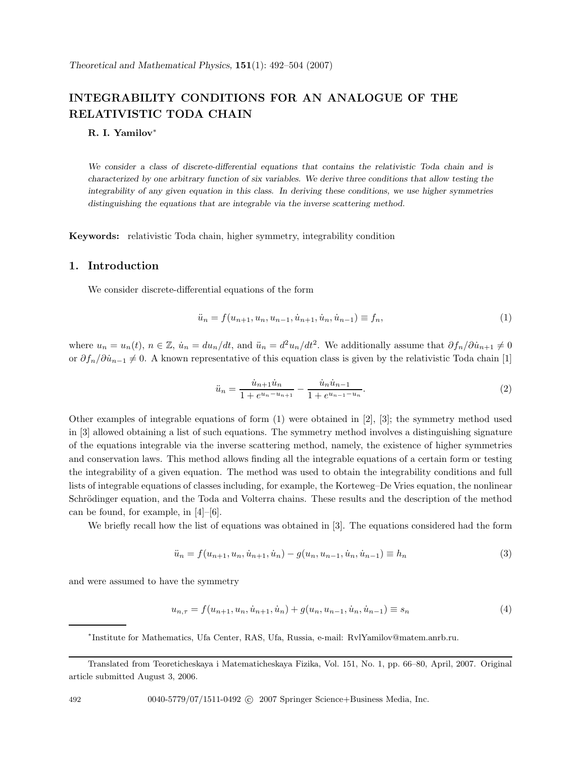# **INTEGRABILITY CONDITIONS FOR AN ANALOGUE OF THE RELATIVISTIC TODA CHAIN**

## **R. I. Yamilov**<sup>∗</sup>

*We consider a class of discrete-differential equations that contains the relativistic Toda chain and is characterized by one arbitrary function of six variables. We derive three conditions that allow testing the integrability of any given equation in this class. In deriving these conditions, we use higher symmetries distinguishing the equations that are integrable via the inverse scattering method.*

**Keywords:** relativistic Toda chain, higher symmetry, integrability condition

## **1. Introduction**

We consider discrete-differential equations of the form

$$
\ddot{u}_n = f(u_{n+1}, u_n, u_{n-1}, \dot{u}_{n+1}, \dot{u}_n, \dot{u}_{n-1}) \equiv f_n,\tag{1}
$$

where  $u_n = u_n(t)$ ,  $n \in \mathbb{Z}$ ,  $\dot{u}_n = du_n/dt$ , and  $\ddot{u}_n = d^2u_n/dt^2$ . We additionally assume that  $\partial f_n/\partial \dot{u}_{n+1} \neq 0$ or  $\partial f_n/\partial \dot{u}_{n-1} \neq 0$ . A known representative of this equation class is given by the relativistic Toda chain [1]

$$
\ddot{u}_n = \frac{\dot{u}_{n+1}\dot{u}_n}{1 + e^{u_n - u_{n+1}}} - \frac{\dot{u}_n\dot{u}_{n-1}}{1 + e^{u_{n-1} - u_n}}.\tag{2}
$$

Other examples of integrable equations of form  $(1)$  were obtained in [2], [3]; the symmetry method used in [3] allowed obtaining a list of such equations. The symmetry method involves a distinguishing signature of the equations integrable via the inverse scattering method, namely, the existence of higher symmetries and conservation laws. This method allows finding all the integrable equations of a certain form or testing the integrability of a given equation. The method was used to obtain the integrability conditions and full lists of integrable equations of classes including, for example, the Korteweg–De Vries equation, the nonlinear Schrödinger equation, and the Toda and Volterra chains. These results and the description of the method can be found, for example, in  $[4]-[6]$ .

We briefly recall how the list of equations was obtained in [3]. The equations considered had the form

$$
\ddot{u}_n = f(u_{n+1}, u_n, \dot{u}_{n+1}, \dot{u}_n) - g(u_n, u_{n-1}, \dot{u}_n, \dot{u}_{n-1}) \equiv h_n \tag{3}
$$

and were assumed to have the symmetry

$$
u_{n,\tau} = f(u_{n+1}, u_n, \dot{u}_{n+1}, \dot{u}_n) + g(u_n, u_{n-1}, \dot{u}_n, \dot{u}_{n-1}) \equiv s_n \tag{4}
$$

<sup>∗</sup>Institute for Mathematics, Ufa Center, RAS, Ufa, Russia, e-mail: RvlYamilov@matem.anrb.ru.

492 0040-5779/07/1511-0492 C 2007 Springer Science+Business Media, Inc.

Translated from Teoreticheskaya i Matematicheskaya Fizika, Vol. 151, No. 1, pp. 66–80, April, 2007. Original article submitted August 3, 2006.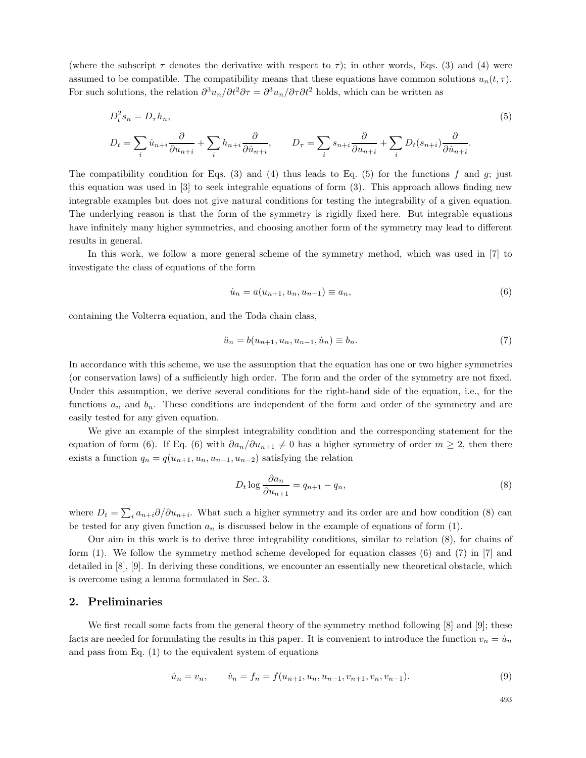(where the subscript  $\tau$  denotes the derivative with respect to  $\tau$ ); in other words, Eqs. (3) and (4) were assumed to be compatible. The compatibility means that these equations have common solutions  $u_n(t, \tau)$ . For such solutions, the relation  $\partial^3 u_n/\partial t^2 \partial \tau = \partial^3 u_n/\partial \tau \partial t^2$  holds, which can be written as

$$
D_t^2 s_n = D_\tau h_n,
$$
\n
$$
D_t = \sum_i \dot{u}_{n+i} \frac{\partial}{\partial u_{n+i}} + \sum_i h_{n+i} \frac{\partial}{\partial \dot{u}_{n+i}}, \qquad D_\tau = \sum_i s_{n+i} \frac{\partial}{\partial u_{n+i}} + \sum_i D_t(s_{n+i}) \frac{\partial}{\partial \dot{u}_{n+i}}.
$$
\n
$$
(5)
$$

The compatibility condition for Eqs. (3) and (4) thus leads to Eq. (5) for the functions f and g; just this equation was used in [3] to seek integrable equations of form (3). This approach allows finding new integrable examples but does not give natural conditions for testing the integrability of a given equation. The underlying reason is that the form of the symmetry is rigidly fixed here. But integrable equations have infinitely many higher symmetries, and choosing another form of the symmetry may lead to different results in general.

In this work, we follow a more general scheme of the symmetry method, which was used in [7] to investigate the class of equations of the form

$$
\dot{u}_n = a(u_{n+1}, u_n, u_{n-1}) \equiv a_n,\tag{6}
$$

containing the Volterra equation, and the Toda chain class,

$$
\ddot{u}_n = b(u_{n+1}, u_n, u_{n-1}, \dot{u}_n) \equiv b_n.
$$
\n(7)

In accordance with this scheme, we use the assumption that the equation has one or two higher symmetries (or conservation laws) of a sufficiently high order. The form and the order of the symmetry are not fixed. Under this assumption, we derive several conditions for the right-hand side of the equation, i.e., for the functions  $a_n$  and  $b_n$ . These conditions are independent of the form and order of the symmetry and are easily tested for any given equation.

We give an example of the simplest integrability condition and the corresponding statement for the equation of form (6). If Eq. (6) with  $\partial a_n/\partial u_{n+1} \neq 0$  has a higher symmetry of order  $m \geq 2$ , then there exists a function  $q_n = q(u_{n+1}, u_n, u_{n-1}, u_{n-2})$  satisfying the relation

$$
D_t \log \frac{\partial a_n}{\partial u_{n+1}} = q_{n+1} - q_n,\tag{8}
$$

where  $D_t = \sum_i a_{n+i} \partial/\partial u_{n+i}$ . What such a higher symmetry and its order are and how condition (8) can be tested for any given function  $a_n$  is discussed below in the example of equations of form (1).

Our aim in this work is to derive three integrability conditions, similar to relation (8), for chains of form (1). We follow the symmetry method scheme developed for equation classes (6) and (7) in [7] and detailed in [8], [9]. In deriving these conditions, we encounter an essentially new theoretical obstacle, which is overcome using a lemma formulated in Sec. 3.

## **2. Preliminaries**

We first recall some facts from the general theory of the symmetry method following [8] and [9]; these facts are needed for formulating the results in this paper. It is convenient to introduce the function  $v_n = \dot{u}_n$ and pass from Eq. (1) to the equivalent system of equations

$$
\dot{u}_n = v_n, \qquad \dot{v}_n = f_n = f(u_{n+1}, u_n, u_{n-1}, v_{n+1}, v_n, v_{n-1}). \tag{9}
$$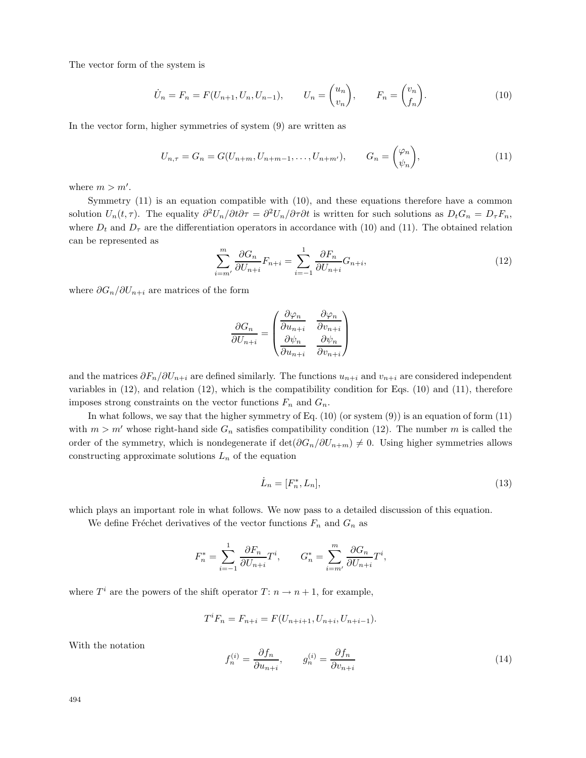The vector form of the system is

$$
\dot{U}_n = F_n = F(U_{n+1}, U_n, U_{n-1}), \qquad U_n = \begin{pmatrix} u_n \\ v_n \end{pmatrix}, \qquad F_n = \begin{pmatrix} v_n \\ f_n \end{pmatrix}.
$$
 (10)

In the vector form, higher symmetries of system (9) are written as

$$
U_{n,\tau} = G_n = G(U_{n+m}, U_{n+m-1}, \dots, U_{n+m'}), \qquad G_n = \begin{pmatrix} \varphi_n \\ \psi_n \end{pmatrix}, \tag{11}
$$

where  $m > m'$ .

Symmetry (11) is an equation compatible with (10), and these equations therefore have a common solution  $U_n(t, \tau)$ . The equality  $\partial^2 U_n/\partial t \partial \tau = \partial^2 U_n/\partial \tau \partial t$  is written for such solutions as  $D_t G_n = D_\tau F_n$ , where  $D_t$  and  $D_{\tau}$  are the differentiation operators in accordance with (10) and (11). The obtained relation can be represented as

$$
\sum_{i=m'}^{m} \frac{\partial G_n}{\partial U_{n+i}} F_{n+i} = \sum_{i=-1}^{1} \frac{\partial F_n}{\partial U_{n+i}} G_{n+i},\tag{12}
$$

where  $\partial G_n/\partial U_{n+i}$  are matrices of the form

$$
\frac{\partial G_n}{\partial U_{n+i}} = \begin{pmatrix} \frac{\partial \varphi_n}{\partial u_{n+i}} & \frac{\partial \varphi_n}{\partial v_{n+i}} \\ \frac{\partial \psi_n}{\partial u_{n+i}} & \frac{\partial \psi_n}{\partial v_{n+i}} \end{pmatrix}
$$

and the matrices  $\partial F_n/\partial U_{n+i}$  are defined similarly. The functions  $u_{n+i}$  and  $v_{n+i}$  are considered independent variables in (12), and relation (12), which is the compatibility condition for Eqs. (10) and (11), therefore imposes strong constraints on the vector functions  $F_n$  and  $G_n$ .

In what follows, we say that the higher symmetry of Eq. (10) (or system (9)) is an equation of form (11) with  $m > m'$  whose right-hand side  $G_n$  satisfies compatibility condition (12). The number m is called the order of the symmetry, which is nondegenerate if  $\det(\partial G_n/\partial U_{n+m}) \neq 0$ . Using higher symmetries allows constructing approximate solutions  $L_n$  of the equation

$$
\dot{L}_n = [F_n^*, L_n],\tag{13}
$$

which plays an important role in what follows. We now pass to a detailed discussion of this equation.

We define Fréchet derivatives of the vector functions  $F_n$  and  $G_n$  as

$$
F_n^* = \sum_{i=-1}^1 \frac{\partial F_n}{\partial U_{n+i}} T^i, \qquad G_n^* = \sum_{i=m'}^m \frac{\partial G_n}{\partial U_{n+i}} T^i,
$$

where  $T^i$  are the powers of the shift operator  $T: n \to n+1$ , for example,

$$
T^{i}F_{n} = F_{n+i} = F(U_{n+i+1}, U_{n+i}, U_{n+i-1}).
$$

With the notation

$$
f_n^{(i)} = \frac{\partial f_n}{\partial u_{n+i}}, \qquad g_n^{(i)} = \frac{\partial f_n}{\partial v_{n+i}} \tag{14}
$$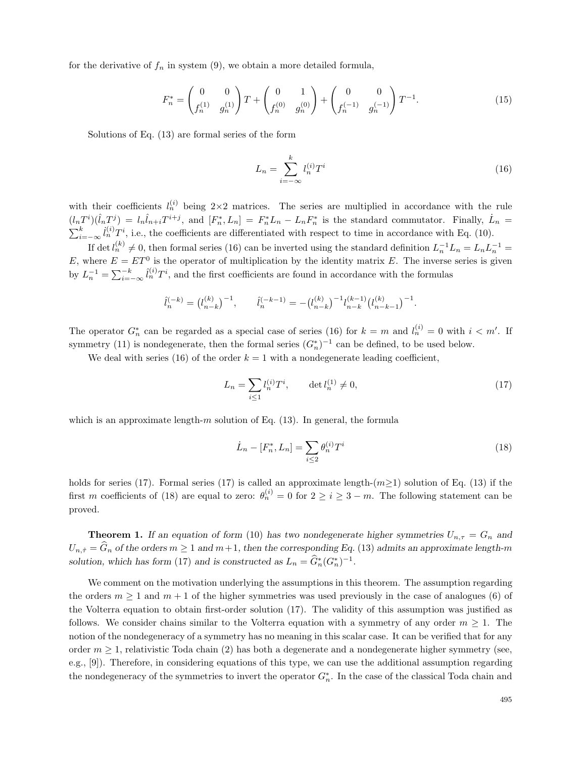for the derivative of  $f_n$  in system (9), we obtain a more detailed formula,

$$
F_n^* = \begin{pmatrix} 0 & 0 \\ f_n^{(1)} & g_n^{(1)} \end{pmatrix} T + \begin{pmatrix} 0 & 1 \\ f_n^{(0)} & g_n^{(0)} \end{pmatrix} + \begin{pmatrix} 0 & 0 \\ f_n^{(-1)} & g_n^{(-1)} \end{pmatrix} T^{-1}.
$$
 (15)

Solutions of Eq. (13) are formal series of the form

$$
L_n = \sum_{i=-\infty}^{k} l_n^{(i)} T^i \tag{16}
$$

with their coefficients  $l_n^{(i)}$  being  $2\times 2$  matrices. The series are multiplied in accordance with the rule  $(l_nT^i)(\hat{l}_nT^j) = l_n\hat{l}_{n+i}T^{i+j}$ , and  $[F_n^*,L_n] = F_n^*L_n - L_nF_n^*$  is the standard commutator. Finally,  $\hat{L}_n =$  $\sum_{i=-\infty}^{k} i_n^{(i)} T^i$ , i.e., the coefficients are differentiated with respect to time in accordance with Eq. (10).

If det  $l_n^{(k)} \neq 0$ , then formal series (16) can be inverted using the standard definition  $L_n^{-1}L_n = L_n L_n^{-1}$ E, where  $E = ET^0$  is the operator of multiplication by the identity matrix E. The inverse series is given by  $L_n^{-1} = \sum_{i=-\infty}^{-k} \hat{l}_n^{(i)} T^i$ , and the first coefficients are found in accordance with the formulas

$$
\hat{l}_n^{(-k)} = \left(l_{n-k}^{(k)}\right)^{-1}, \qquad \hat{l}_n^{(-k-1)} = -\left(l_{n-k}^{(k)}\right)^{-1} l_{n-k}^{(k-1)} \left(l_{n-k-1}^{(k)}\right)^{-1}.
$$

The operator  $G_n^*$  can be regarded as a special case of series (16) for  $k = m$  and  $l_n^{(i)} = 0$  with  $i < m'$ . If symmetry (11) is nondegenerate, then the formal series  $(G_n^*)^{-1}$  can be defined, to be used below.

We deal with series (16) of the order  $k = 1$  with a nondegenerate leading coefficient,

$$
L_n = \sum_{i \le 1} l_n^{(i)} T^i, \qquad \det l_n^{(1)} \ne 0,
$$
\n(17)

which is an approximate length- $m$  solution of Eq. (13). In general, the formula

$$
\dot{L}_n - [F_n^*, L_n] = \sum_{i \le 2} \theta_n^{(i)} T^i
$$
\n(18)

holds for series (17). Formal series (17) is called an approximate length- $(m\geq 1)$  solution of Eq. (13) if the first m coefficients of (18) are equal to zero:  $\theta_n^{(i)} = 0$  for  $2 \geq i \geq 3 - m$ . The following statement can be proved.

**Theorem 1.** *If an equation of form* (10) *has two nondegenerate higher symmetries*  $U_{n,\tau} = G_n$  *and*  $U_{n,\hat{\tau}} = \hat{G}_n$  of the orders  $m \ge 1$  and  $m+1$ , then the corresponding Eq. (13) admits an approximate length-m *solution, which has form* (17) *and is constructed as*  $L_n = \hat{G}_n^*(G_n^*)^{-1}$ .

We comment on the motivation underlying the assumptions in this theorem. The assumption regarding the orders  $m \ge 1$  and  $m + 1$  of the higher symmetries was used previously in the case of analogues (6) of the Volterra equation to obtain first-order solution (17). The validity of this assumption was justified as follows. We consider chains similar to the Volterra equation with a symmetry of any order  $m \geq 1$ . The notion of the nondegeneracy of a symmetry has no meaning in this scalar case. It can be verified that for any order  $m \geq 1$ , relativistic Toda chain (2) has both a degenerate and a nondegenerate higher symmetry (see, e.g., [9]). Therefore, in considering equations of this type, we can use the additional assumption regarding the nondegeneracy of the symmetries to invert the operator  $G_n^*$ . In the case of the classical Toda chain and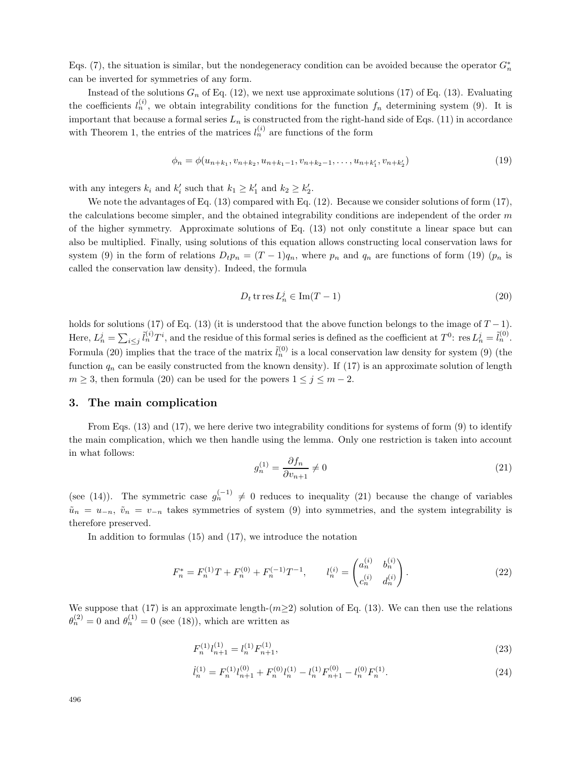Eqs. (7), the situation is similar, but the nondegeneracy condition can be avoided because the operator  $G_n^*$ can be inverted for symmetries of any form.

Instead of the solutions  $G_n$  of Eq. (12), we next use approximate solutions (17) of Eq. (13). Evaluating the coefficients  $l_n^{(i)}$ , we obtain integrability conditions for the function  $f_n$  determining system (9). It is important that because a formal series  $L_n$  is constructed from the right-hand side of Eqs. (11) in accordance with Theorem 1, the entries of the matrices  $l_n^{(i)}$  are functions of the form

$$
\phi_n = \phi(u_{n+k_1}, v_{n+k_2}, u_{n+k_1-1}, v_{n+k_2-1}, \dots, u_{n+k'_1}, v_{n+k'_2})
$$
\n(19)

with any integers  $k_i$  and  $k'_i$  such that  $k_1 \geq k'_1$  and  $k_2 \geq k'_2$ .

We note the advantages of Eq.  $(13)$  compared with Eq.  $(12)$ . Because we consider solutions of form  $(17)$ , the calculations become simpler, and the obtained integrability conditions are independent of the order  $m$ of the higher symmetry. Approximate solutions of Eq. (13) not only constitute a linear space but can also be multiplied. Finally, using solutions of this equation allows constructing local conservation laws for system (9) in the form of relations  $D_t p_n = (T-1)q_n$ , where  $p_n$  and  $q_n$  are functions of form (19)  $(p_n$  is called the conservation law density). Indeed, the formula

$$
D_t \operatorname{tr} \operatorname{res} L_n^j \in \operatorname{Im}(T - 1) \tag{20}
$$

holds for solutions (17) of Eq. (13) (it is understood that the above function belongs to the image of  $T-1$ ). Here,  $L_n^j = \sum_{i \leq j} \tilde{l}_n^{(i)} T^i$ , and the residue of this formal series is defined as the coefficient at  $T^0$ : res  $L_n^j = \tilde{l}_n^{(0)}$ . Formula (20) implies that the trace of the matrix  $\tilde{l}_n^{(0)}$  is a local conservation law density for system (9) (the function  $q_n$  can be easily constructed from the known density). If (17) is an approximate solution of length  $m \geq 3$ , then formula (20) can be used for the powers  $1 \leq j \leq m-2$ .

# **3. The main complication**

From Eqs. (13) and (17), we here derive two integrability conditions for systems of form (9) to identify the main complication, which we then handle using the lemma. Only one restriction is taken into account in what follows:

$$
g_n^{(1)} = \frac{\partial f_n}{\partial v_{n+1}} \neq 0 \tag{21}
$$

(see (14)). The symmetric case  $g_n^{(-1)} \neq 0$  reduces to inequality (21) because the change of variables  $\tilde{u}_n = u_{-n}, \tilde{v}_n = v_{-n}$  takes symmetries of system (9) into symmetries, and the system integrability is therefore preserved.

In addition to formulas (15) and (17), we introduce the notation

$$
F_n^* = F_n^{(1)}T + F_n^{(0)} + F_n^{(-1)}T^{-1}, \qquad l_n^{(i)} = \begin{pmatrix} a_n^{(i)} & b_n^{(i)} \\ c_n^{(i)} & d_n^{(i)} \end{pmatrix}.
$$
 (22)

We suppose that (17) is an approximate length- $(m\geq 2)$  solution of Eq. (13). We can then use the relations  $\theta_n^{(2)} = 0$  and  $\theta_n^{(1)} = 0$  (see (18)), which are written as

$$
F_n^{(1)} l_{n+1}^{(1)} = l_n^{(1)} F_{n+1}^{(1)},\tag{23}
$$

$$
\dot{l}_n^{(1)} = F_n^{(1)} l_{n+1}^{(0)} + F_n^{(0)} l_n^{(1)} - l_n^{(1)} F_{n+1}^{(0)} - l_n^{(0)} F_n^{(1)}.
$$
\n
$$
(24)
$$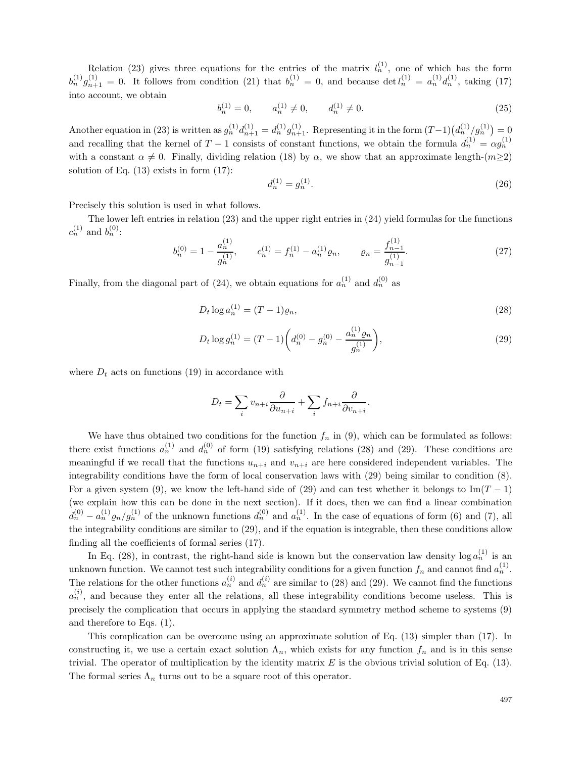Relation (23) gives three equations for the entries of the matrix  $l_n^{(1)}$ , one of which has the form  $b_n^{(1)}g_{n+1}^{(1)} = 0$ . It follows from condition (21) that  $b_n^{(1)} = 0$ , and because det  $l_n^{(1)} = a_n^{(1)}d_n^{(1)}$ , taking (17) into account, we obtain

$$
b_n^{(1)} = 0, \qquad a_n^{(1)} \neq 0, \qquad d_n^{(1)} \neq 0.
$$
 (25)

Another equation in (23) is written as  $g_n^{(1)} d_{n+1}^{(1)} = d_n^{(1)} g_{n+1}^{(1)}$ . Representing it in the form  $(T-1) (d_n^{(1)}/g_n^{(1)}) = 0$ and recalling that the kernel of  $T-1$  consists of constant functions, we obtain the formula  $d_n^{(1)} = \alpha g_n^{(1)}$ with a constant  $\alpha \neq 0$ . Finally, dividing relation (18) by  $\alpha$ , we show that an approximate length- $(m\geq 2)$ solution of Eq.  $(13)$  exists in form  $(17)$ :

$$
d_n^{(1)} = g_n^{(1)}.\tag{26}
$$

Precisely this solution is used in what follows.

The lower left entries in relation (23) and the upper right entries in (24) yield formulas for the functions  $c_n^{(1)}$  and  $b_n^{(0)}$ :

$$
b_n^{(0)} = 1 - \frac{a_n^{(1)}}{g_n^{(1)}}, \qquad c_n^{(1)} = f_n^{(1)} - a_n^{(1)} \varrho_n, \qquad \varrho_n = \frac{f_{n-1}^{(1)}}{g_{n-1}^{(1)}}.
$$
 (27)

Finally, from the diagonal part of (24), we obtain equations for  $a_n^{(1)}$  and  $d_n^{(0)}$  as

$$
D_t \log a_n^{(1)} = (T - 1)\varrho_n,\tag{28}
$$

$$
D_t \log g_n^{(1)} = (T - 1) \left( d_n^{(0)} - g_n^{(0)} - \frac{a_n^{(1)} \varrho_n}{g_n^{(1)}} \right),\tag{29}
$$

where  $D_t$  acts on functions (19) in accordance with

$$
D_t = \sum_i v_{n+i} \frac{\partial}{\partial u_{n+i}} + \sum_i f_{n+i} \frac{\partial}{\partial v_{n+i}}.
$$

We have thus obtained two conditions for the function  $f_n$  in (9), which can be formulated as follows: there exist functions  $a_n^{(1)}$  and  $d_n^{(0)}$  of form (19) satisfying relations (28) and (29). These conditions are meaningful if we recall that the functions  $u_{n+i}$  and  $v_{n+i}$  are here considered independent variables. The integrability conditions have the form of local conservation laws with (29) being similar to condition (8). For a given system (9), we know the left-hand side of (29) and can test whether it belongs to Im( $T-1$ ) (we explain how this can be done in the next section). If it does, then we can find a linear combination  $d_n^{(0)} - a_n^{(1)} \varrho_n / g_n^{(1)}$  of the unknown functions  $d_n^{(0)}$  and  $a_n^{(1)}$ . In the case of equations of form (6) and (7), all the integrability conditions are similar to (29), and if the equation is integrable, then these conditions allow finding all the coefficients of formal series (17).

In Eq. (28), in contrast, the right-hand side is known but the conservation law density  $\log a_n^{(1)}$  is an unknown function. We cannot test such integrability conditions for a given function  $f_n$  and cannot find  $a_n^{(1)}$ . The relations for the other functions  $a_n^{(i)}$  and  $d_n^{(i)}$  are similar to (28) and (29). We cannot find the functions  $a_n^{(i)}$ , and because they enter all the relations, all these integrability conditions become useless. This is precisely the complication that occurs in applying the standard symmetry method scheme to systems (9) and therefore to Eqs. (1).

This complication can be overcome using an approximate solution of Eq. (13) simpler than (17). In constructing it, we use a certain exact solution  $\Lambda_n$ , which exists for any function  $f_n$  and is in this sense trivial. The operator of multiplication by the identity matrix  $E$  is the obvious trivial solution of Eq. (13). The formal series  $\Lambda_n$  turns out to be a square root of this operator.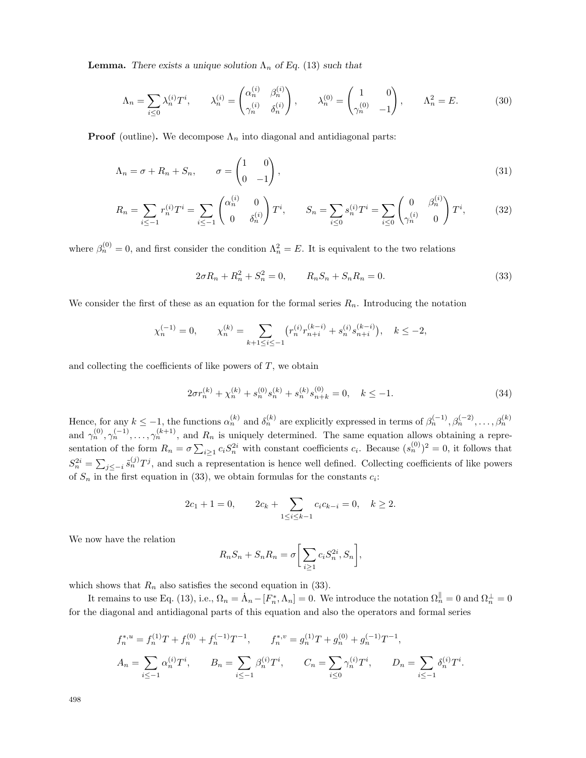**Lemma.** *There exists a unique solution*  $\Lambda_n$  *of Eq.* (13) *such that* 

$$
\Lambda_n = \sum_{i \le 0} \lambda_n^{(i)} T^i, \qquad \lambda_n^{(i)} = \begin{pmatrix} \alpha_n^{(i)} & \beta_n^{(i)} \\ \gamma_n^{(i)} & \delta_n^{(i)} \end{pmatrix}, \qquad \lambda_n^{(0)} = \begin{pmatrix} 1 & 0 \\ \gamma_n^{(0)} & -1 \end{pmatrix}, \qquad \Lambda_n^2 = E. \tag{30}
$$

**Proof** (outline). We decompose  $\Lambda_n$  into diagonal and antidiagonal parts:

$$
\Lambda_n = \sigma + R_n + S_n, \qquad \sigma = \begin{pmatrix} 1 & 0 \\ 0 & -1 \end{pmatrix}, \tag{31}
$$

$$
R_n = \sum_{i \le -1} r_n^{(i)} T^i = \sum_{i \le -1} \begin{pmatrix} \alpha_n^{(i)} & 0 \\ 0 & \delta_n^{(i)} \end{pmatrix} T^i, \qquad S_n = \sum_{i \le 0} s_n^{(i)} T^i = \sum_{i \le 0} \begin{pmatrix} 0 & \beta_n^{(i)} \\ \gamma_n^{(i)} & 0 \end{pmatrix} T^i,
$$
(32)

where  $\beta_n^{(0)} = 0$ , and first consider the condition  $\Lambda_n^2 = E$ . It is equivalent to the two relations

$$
2\sigma R_n + R_n^2 + S_n^2 = 0, \qquad R_n S_n + S_n R_n = 0.
$$
\n(33)

We consider the first of these as an equation for the formal series  $R_n$ . Introducing the notation

$$
\chi_n^{(-1)}=0,\qquad \chi_n^{(k)}=\sum_{k+1\leq i\leq -1}\big(r_n^{(i)}r_{n+i}^{(k-i)}+s_n^{(i)}s_{n+i}^{(k-i)}\big),\quad k\leq -2,
$$

and collecting the coefficients of like powers of  $T$ , we obtain

$$
2\sigma r_n^{(k)} + \chi_n^{(k)} + s_n^{(0)} s_n^{(k)} + s_n^{(k)} s_{n+k}^{(0)} = 0, \quad k \le -1.
$$
\n(34)

Hence, for any  $k \leq -1$ , the functions  $\alpha_n^{(k)}$  and  $\delta_n^{(k)}$  are explicitly expressed in terms of  $\beta_n^{(-1)}, \beta_n^{(-2)}, \ldots, \beta_n^{(k)}$ and  $\gamma_n^{(0)}, \gamma_n^{(-1)}, \ldots, \gamma_n^{(k+1)}$ , and  $R_n$  is uniquely determined. The same equation allows obtaining a representation of the form  $R_n = \sigma \sum_{i \geq 1} c_i S_n^{2i}$  with constant coefficients  $c_i$ . Because  $(s_n^{(0)})^2 = 0$ , it follows that  $S_n^{2i} = \sum_{j \leq -i} \tilde{s}_n^{(j)} T^j$ , and such a representation is hence well defined. Collecting coefficients of like powers of  $S_n$  in the first equation in (33), we obtain formulas for the constants  $c_i$ :

$$
2c_1 + 1 = 0
$$
,  $2c_k + \sum_{1 \le i \le k-1} c_i c_{k-i} = 0$ ,  $k \ge 2$ .

We now have the relation

$$
R_n S_n + S_n R_n = \sigma \bigg[ \sum_{i \ge 1} c_i S_n^{2i}, S_n \bigg],
$$

which shows that  $R_n$  also satisfies the second equation in (33).

It remains to use Eq. (13), i.e.,  $\Omega_n = \dot{\Lambda}_n - [F_n^*, \Lambda_n] = 0$ . We introduce the notation  $\Omega_n^{\parallel} = 0$  and  $\Omega_n^{\perp} = 0$ for the diagonal and antidiagonal parts of this equation and also the operators and formal series

$$
f_n^{*,u} = f_n^{(1)}T + f_n^{(0)} + f_n^{(-1)}T^{-1}, \qquad f_n^{*,v} = g_n^{(1)}T + g_n^{(0)} + g_n^{(-1)}T^{-1},
$$
  

$$
A_n = \sum_{i \le -1} \alpha_n^{(i)}T^i, \qquad B_n = \sum_{i \le -1} \beta_n^{(i)}T^i, \qquad C_n = \sum_{i \le 0} \gamma_n^{(i)}T^i, \qquad D_n = \sum_{i \le -1} \delta_n^{(i)}T^i.
$$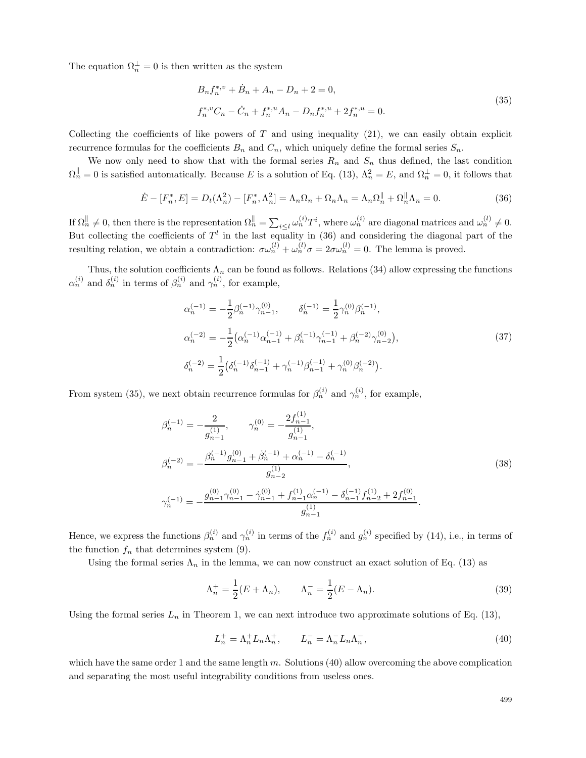The equation  $\Omega_n^{\perp} = 0$  is then written as the system

$$
B_n f_n^{*,v} + \dot{B}_n + A_n - D_n + 2 = 0,
$$
  
\n
$$
f_n^{*,v} C_n - \dot{C}_n + f_n^{*,u} A_n - D_n f_n^{*,u} + 2 f_n^{*,u} = 0.
$$
\n(35)

Collecting the coefficients of like powers of  $T$  and using inequality (21), we can easily obtain explicit recurrence formulas for the coefficients  $B_n$  and  $C_n$ , which uniquely define the formal series  $S_n$ .

We now only need to show that with the formal series  $R_n$  and  $S_n$  thus defined, the last condition  $\Omega_n^{\parallel} = 0$  is satisfied automatically. Because E is a solution of Eq. (13),  $\Lambda_n^2 = E$ , and  $\Omega_n^{\perp} = 0$ , it follows that

$$
\dot{E} - [F_n^*, E] = D_t(\Lambda_n^2) - [F_n^*, \Lambda_n^2] = \Lambda_n \Omega_n + \Omega_n \Lambda_n = \Lambda_n \Omega_n^{\parallel} + \Omega_n^{\parallel} \Lambda_n = 0.
$$
\n(36)

If  $\Omega_n^{\parallel} \neq 0$ , then there is the representation  $\Omega_n^{\parallel} = \sum_{i \leq l} \omega_n^{(i)} T^i$ , where  $\omega_n^{(i)}$  are diagonal matrices and  $\omega_n^{(l)} \neq 0$ . But collecting the coefficients of  $T<sup>l</sup>$  in the last equality in (36) and considering the diagonal part of the resulting relation, we obtain a contradiction:  $\sigma \omega_n^{(l)} + \omega_n^{(l)} \sigma = 2 \sigma \omega_n^{(l)} = 0$ . The lemma is proved.

Thus, the solution coefficients  $\Lambda_n$  can be found as follows. Relations (34) allow expressing the functions  $\alpha_n^{(i)}$  and  $\delta_n^{(i)}$  in terms of  $\beta_n^{(i)}$  and  $\gamma_n^{(i)}$ , for example,

$$
\alpha_n^{(-1)} = -\frac{1}{2} \beta_n^{(-1)} \gamma_{n-1}^{(0)}, \qquad \delta_n^{(-1)} = \frac{1}{2} \gamma_n^{(0)} \beta_n^{(-1)},
$$
  
\n
$$
\alpha_n^{(-2)} = -\frac{1}{2} \left( \alpha_n^{(-1)} \alpha_{n-1}^{(-1)} + \beta_n^{(-1)} \gamma_{n-1}^{(-1)} + \beta_n^{(-2)} \gamma_{n-2}^{(0)} \right),
$$
  
\n
$$
\delta_n^{(-2)} = \frac{1}{2} \left( \delta_n^{(-1)} \delta_{n-1}^{(-1)} + \gamma_n^{(-1)} \beta_{n-1}^{(-1)} + \gamma_n^{(0)} \beta_n^{(-2)} \right).
$$
\n(37)

From system (35), we next obtain recurrence formulas for  $\beta_n^{(i)}$  and  $\gamma_n^{(i)}$ , for example,

$$
\beta_n^{(-1)} = -\frac{2}{g_{n-1}^{(1)}}, \qquad \gamma_n^{(0)} = -\frac{2f_{n-1}^{(1)}}{g_{n-1}^{(1)}},
$$
\n
$$
\beta_n^{(-2)} = -\frac{\beta_n^{(-1)}g_{n-1}^{(0)} + \beta_n^{(-1)} + \alpha_n^{(-1)} - \delta_n^{(-1)}}{g_{n-2}^{(1)}},
$$
\n
$$
\gamma_n^{(-1)} = -\frac{g_{n-1}^{(0)}\gamma_{n-1}^{(0)} - \gamma_{n-1}^{(0)} + f_{n-1}^{(1)}\alpha_n^{(-1)} - \delta_{n-1}^{(-1)}f_{n-2}^{(1)} + 2f_{n-1}^{(0)}}{g_{n-1}^{(1)}}.
$$
\n(38)

Hence, we express the functions  $\beta_n^{(i)}$  and  $\gamma_n^{(i)}$  in terms of the  $f_n^{(i)}$  and  $g_n^{(i)}$  specified by (14), i.e., in terms of the function  $f_n$  that determines system (9).

Using the formal series  $\Lambda_n$  in the lemma, we can now construct an exact solution of Eq. (13) as

$$
\Lambda_n^+ = \frac{1}{2}(E + \Lambda_n), \qquad \Lambda_n^- = \frac{1}{2}(E - \Lambda_n). \tag{39}
$$

Using the formal series  $L_n$  in Theorem 1, we can next introduce two approximate solutions of Eq. (13),

$$
L_n^+ = \Lambda_n^+ L_n \Lambda_n^+, \qquad L_n^- = \Lambda_n^- L_n \Lambda_n^-, \tag{40}
$$

which have the same order 1 and the same length  $m$ . Solutions (40) allow overcoming the above complication and separating the most useful integrability conditions from useless ones.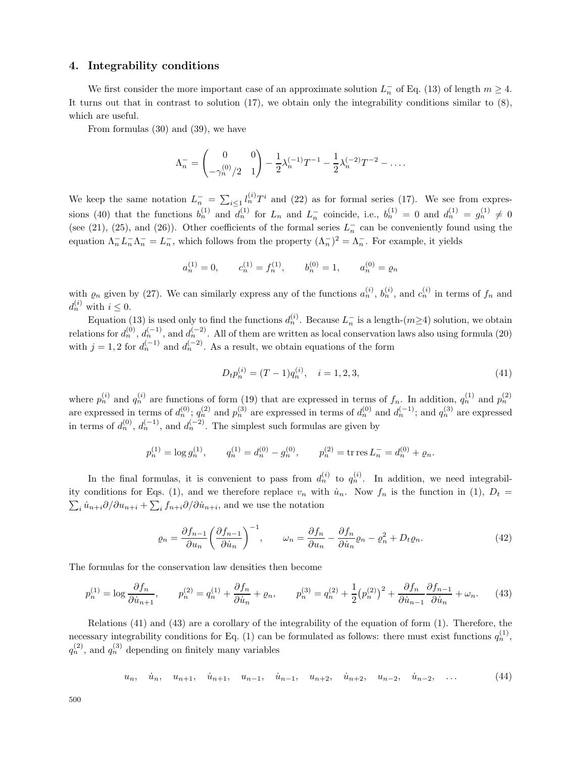### **4. Integrability conditions**

We first consider the more important case of an approximate solution  $L_n^-$  of Eq. (13) of length  $m \geq 4$ . It turns out that in contrast to solution  $(17)$ , we obtain only the integrability conditions similar to  $(8)$ , which are useful.

From formulas (30) and (39), we have

$$
\Lambda_n^- = \begin{pmatrix} 0 & 0 \\ -\gamma_n^{(0)}/2 & 1 \end{pmatrix} - \frac{1}{2}\lambda_n^{(-1)}T^{-1} - \frac{1}{2}\lambda_n^{(-2)}T^{-2} - \dots
$$

We keep the same notation  $L_n^- = \sum_{i\leq 1} l_n^{(i)} T^i$  and (22) as for formal series (17). We see from expressions (40) that the functions  $b_n^{(1)}$  and  $d_n^{(1)}$  for  $L_n$  and  $L_n^-$  coincide, i.e.,  $b_n^{(1)} = 0$  and  $d_n^{(1)} = g_n^{(1)} \neq 0$ (see (21), (25), and (26)). Other coefficients of the formal series  $L_n^-$  can be conveniently found using the equation  $\Lambda_n^- L_n^- \Lambda_n^- = L_n^-$ , which follows from the property  $(\Lambda_n^-)^2 = \Lambda_n^-$ . For example, it yields

$$
a_n^{(1)} = 0
$$
,  $c_n^{(1)} = f_n^{(1)}$ ,  $b_n^{(0)} = 1$ ,  $a_n^{(0)} = \varrho_n$ 

with  $\varrho_n$  given by (27). We can similarly express any of the functions  $a_n^{(i)}$ ,  $b_n^{(i)}$ , and  $c_n^{(i)}$  in terms of  $f_n$  and  $d_n^{(i)}$  with  $i \leq 0$ .

Equation (13) is used only to find the functions  $d_n^{(i)}$ . Because  $L_n^-$  is a length- $(m\geq 4)$  solution, we obtain relations for  $d_n^{(0)}$ ,  $d_n^{(-1)}$ , and  $d_n^{(-2)}$ . All of them are written as local conservation laws also using formula (20) with  $j = 1, 2$  for  $d_n^{(-1)}$  and  $d_n^{(-2)}$ . As a result, we obtain equations of the form

$$
D_t p_n^{(i)} = (T - 1)q_n^{(i)}, \quad i = 1, 2, 3,
$$
\n<sup>(41)</sup>

where  $p_n^{(i)}$  and  $q_n^{(i)}$  are functions of form (19) that are expressed in terms of  $f_n$ . In addition,  $q_n^{(1)}$  and  $p_n^{(2)}$ are expressed in terms of  $d_n^{(0)}$ ;  $q_n^{(2)}$  and  $p_n^{(3)}$  are expressed in terms of  $d_n^{(0)}$  and  $d_n^{(-1)}$ ; and  $q_n^{(3)}$  are expressed in terms of  $d_n^{(0)}$ ,  $d_n^{(-1)}$ , and  $d_n^{(-2)}$ . The simplest such formulas are given by

$$
p_n^{(1)} = \log g_n^{(1)},
$$
  $q_n^{(1)} = d_n^{(0)} - g_n^{(0)},$   $p_n^{(2)} = \text{tr res } L_n^- = d_n^{(0)} + \varrho_n.$ 

In the final formulas, it is convenient to pass from  $d_n^{(i)}$  to  $q_n^{(i)}$ . In addition, we need integrability conditions for Eqs. (1), and we therefore replace  $v_n$  with  $\dot{u}_n$ . Now  $f_n$  is the function in (1),  $D_t =$  $\sum_i \dot{u}_{n+i}\partial/\partial u_{n+i} + \sum_i f_{n+i}\partial/\partial \dot{u}_{n+i}$ , and we use the notation

$$
\varrho_n = \frac{\partial f_{n-1}}{\partial u_n} \left( \frac{\partial f_{n-1}}{\partial \dot{u}_n} \right)^{-1}, \qquad \omega_n = \frac{\partial f_n}{\partial u_n} - \frac{\partial f_n}{\partial \dot{u}_n} \varrho_n - \varrho_n^2 + D_t \varrho_n. \tag{42}
$$

The formulas for the conservation law densities then become

$$
p_n^{(1)} = \log \frac{\partial f_n}{\partial \dot{u}_{n+1}}, \qquad p_n^{(2)} = q_n^{(1)} + \frac{\partial f_n}{\partial \dot{u}_n} + \varrho_n, \qquad p_n^{(3)} = q_n^{(2)} + \frac{1}{2} (p_n^{(2)})^2 + \frac{\partial f_n}{\partial \dot{u}_{n-1}} \frac{\partial f_{n-1}}{\partial \dot{u}_n} + \omega_n. \tag{43}
$$

Relations (41) and (43) are a corollary of the integrability of the equation of form (1). Therefore, the necessary integrability conditions for Eq. (1) can be formulated as follows: there must exist functions  $q_n^{(1)}$ ,  $q_n^{(2)}$ , and  $q_n^{(3)}$  depending on finitely many variables

$$
u_n, \quad \dot{u}_n, \quad u_{n+1}, \quad \dot{u}_{n+1}, \quad u_{n-1}, \quad \dot{u}_{n-1}, \quad u_{n+2}, \quad \dot{u}_{n+2}, \quad u_{n-2}, \quad \dot{u}_{n-2}, \quad \dots \tag{44}
$$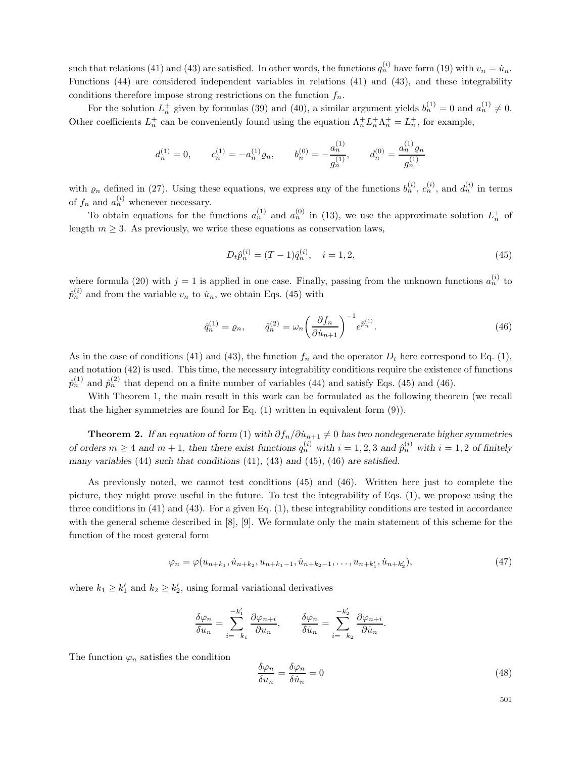such that relations (41) and (43) are satisfied. In other words, the functions  $q_n^{(i)}$  have form (19) with  $v_n = \dot{u}_n$ . Functions (44) are considered independent variables in relations (41) and (43), and these integrability conditions therefore impose strong restrictions on the function  $f_n$ .

For the solution  $L_n^+$  given by formulas (39) and (40), a similar argument yields  $b_n^{(1)} = 0$  and  $a_n^{(1)} \neq 0$ . Other coefficients  $L_n^+$  can be conveniently found using the equation  $\Lambda_n^+ L_n^+ \Lambda_n^+ = L_n^+$ , for example,

$$
d_n^{(1)}=0,\qquad c_n^{(1)}=-a_n^{(1)}\varrho_n,\qquad b_n^{(0)}=-\frac{a_n^{(1)}}{g_n^{(1)}},\qquad d_n^{(0)}=\frac{a_n^{(1)}\varrho_n}{g_n^{(1)}}
$$

with  $\varrho_n$  defined in (27). Using these equations, we express any of the functions  $b_n^{(i)}$ ,  $c_n^{(i)}$ , and  $d_n^{(i)}$  in terms of  $f_n$  and  $a_n^{(i)}$  whenever necessary.

To obtain equations for the functions  $a_n^{(1)}$  and  $a_n^{(0)}$  in (13), we use the approximate solution  $L_n^+$  of length  $m \geq 3$ . As previously, we write these equations as conservation laws,

$$
D_t \hat{p}_n^{(i)} = (T - 1)\hat{q}_n^{(i)}, \quad i = 1, 2,
$$
\n(45)

where formula (20) with  $j = 1$  is applied in one case. Finally, passing from the unknown functions  $a_n^{(i)}$  to  $\hat{p}_n^{(i)}$  and from the variable  $v_n$  to  $\dot{u}_n$ , we obtain Eqs. (45) with

$$
\hat{q}_n^{(1)} = \varrho_n, \qquad \hat{q}_n^{(2)} = \omega_n \left(\frac{\partial f_n}{\partial \dot{u}_{n+1}}\right)^{-1} e^{\hat{p}_n^{(1)}}.
$$
\n(46)

As in the case of conditions (41) and (43), the function  $f_n$  and the operator  $D_t$  here correspond to Eq. (1), and notation (42) is used. This time, the necessary integrability conditions require the existence of functions  $\hat{p}_n^{(1)}$  and  $\hat{p}_n^{(2)}$  that depend on a finite number of variables (44) and satisfy Eqs. (45) and (46).

With Theorem 1, the main result in this work can be formulated as the following theorem (we recall that the higher symmetries are found for Eq. (1) written in equivalent form (9)).

**Theorem 2.** *If an equation of form* (1) *with*  $\partial f_n / \partial \dot{u}_{n+1} \neq 0$  *has two nondegenerate higher symmetries* of orders  $m \geq 4$  and  $m + 1$ , then there exist functions  $q_n^{(i)}$  with  $i = 1, 2, 3$  and  $\hat{p}_n^{(i)}$  with  $i = 1, 2$  of finitely *many variables* (44) *such that conditions* (41)*,* (43) *and* (45)*,* (46) *are satisfied.*

As previously noted, we cannot test conditions (45) and (46). Written here just to complete the picture, they might prove useful in the future. To test the integrability of Eqs. (1), we propose using the three conditions in (41) and (43). For a given Eq. (1), these integrability conditions are tested in accordance with the general scheme described in [8], [9]. We formulate only the main statement of this scheme for the function of the most general form

$$
\varphi_n = \varphi(u_{n+k_1}, \dot{u}_{n+k_2}, u_{n+k_1-1}, \dot{u}_{n+k_2-1}, \dots, u_{n+k'_1}, \dot{u}_{n+k'_2}),
$$
\n(47)

where  $k_1 \geq k_1'$  and  $k_2 \geq k_2'$ , using formal variational derivatives

$$
\frac{\delta \varphi_n}{\delta u_n} = \sum_{i=-k_1}^{-k_1'} \frac{\partial \varphi_{n+i}}{\partial u_n}, \qquad \frac{\delta \varphi_n}{\delta \dot{u}_n} = \sum_{i=-k_2}^{-k_2'} \frac{\partial \varphi_{n+i}}{\partial \dot{u}_n}.
$$

The function  $\varphi_n$  satisfies the condition

$$
\frac{\delta\varphi_n}{\delta u_n} = \frac{\delta\varphi_n}{\delta \dot{u}_n} = 0\tag{48}
$$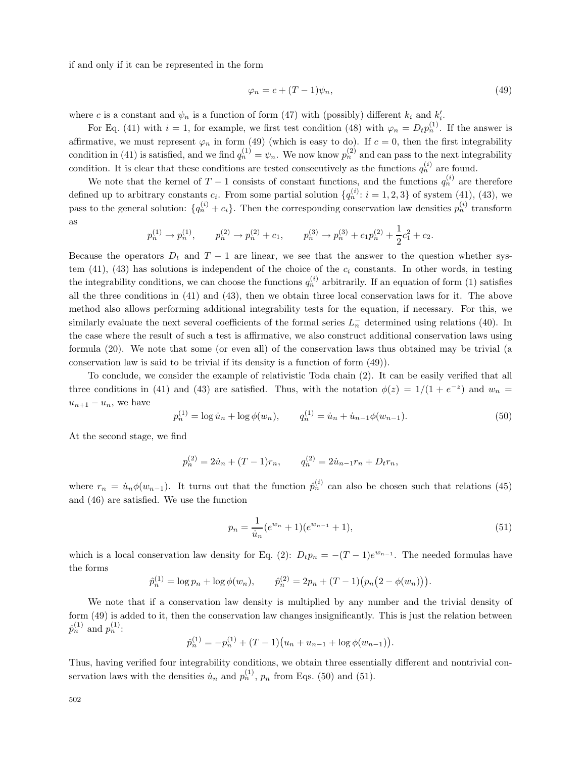if and only if it can be represented in the form

$$
\varphi_n = c + (T - 1)\psi_n,\tag{49}
$$

where c is a constant and  $\psi_n$  is a function of form (47) with (possibly) different  $k_i$  and  $k'_i$ .

For Eq. (41) with  $i = 1$ , for example, we first test condition (48) with  $\varphi_n = D_t p_n^{(1)}$ . If the answer is affirmative, we must represent  $\varphi_n$  in form (49) (which is easy to do). If  $c = 0$ , then the first integrability condition in (41) is satisfied, and we find  $q_n^{(1)} = \psi_n$ . We now know  $p_n^{(2)}$  and can pass to the next integrability condition. It is clear that these conditions are tested consecutively as the functions  $q_n^{(i)}$  are found.

We note that the kernel of  $T-1$  consists of constant functions, and the functions  $q_n^{(i)}$  are therefore defined up to arbitrary constants  $c_i$ . From some partial solution  $\{q_n^{(i)}: i = 1, 2, 3\}$  of system (41), (43), we pass to the general solution:  $\{q_n^{(i)} + c_i\}$ . Then the corresponding conservation law densities  $p_n^{(i)}$  transform as

$$
p_n^{(1)} \to p_n^{(1)},
$$
  $p_n^{(2)} \to p_n^{(2)} + c_1,$   $p_n^{(3)} \to p_n^{(3)} + c_1 p_n^{(2)} + \frac{1}{2} c_1^2 + c_2.$ 

Because the operators  $D_t$  and  $T-1$  are linear, we see that the answer to the question whether system (41), (43) has solutions is independent of the choice of the  $c_i$  constants. In other words, in testing the integrability conditions, we can choose the functions  $q_n^{(i)}$  arbitrarily. If an equation of form (1) satisfies all the three conditions in (41) and (43), then we obtain three local conservation laws for it. The above method also allows performing additional integrability tests for the equation, if necessary. For this, we similarly evaluate the next several coefficients of the formal series  $L_n^-$  determined using relations (40). In the case where the result of such a test is affirmative, we also construct additional conservation laws using formula (20). We note that some (or even all) of the conservation laws thus obtained may be trivial (a conservation law is said to be trivial if its density is a function of form (49)).

To conclude, we consider the example of relativistic Toda chain (2). It can be easily verified that all three conditions in (41) and (43) are satisfied. Thus, with the notation  $\phi(z)=1/(1 + e^{-z})$  and  $w_n =$  $u_{n+1} - u_n$ , we have

$$
p_n^{(1)} = \log \dot{u}_n + \log \phi(w_n), \qquad q_n^{(1)} = \dot{u}_n + \dot{u}_{n-1}\phi(w_{n-1}). \tag{50}
$$

At the second stage, we find

$$
p_n^{(2)} = 2\dot{u}_n + (T-1)r_n, \qquad q_n^{(2)} = 2\dot{u}_{n-1}r_n + D_t r_n,
$$

where  $r_n = \dot{u}_n \phi(w_{n-1})$ . It turns out that the function  $\hat{p}_n^{(i)}$  can also be chosen such that relations (45) and (46) are satisfied. We use the function

$$
p_n = \frac{1}{\dot{u}_n} (e^{w_n} + 1)(e^{w_{n-1}} + 1),\tag{51}
$$

which is a local conservation law density for Eq. (2):  $D_t p_n = -(T-1)e^{w_{n-1}}$ . The needed formulas have the forms

$$
\hat{p}_n^{(1)} = \log p_n + \log \phi(w_n), \qquad \hat{p}_n^{(2)} = 2p_n + (T - 1)(p_n(2 - \phi(w_n))).
$$

We note that if a conservation law density is multiplied by any number and the trivial density of form (49) is added to it, then the conservation law changes insignificantly. This is just the relation between  $\hat{p}_n^{(1)}$  and  $p_n^{(1)}$ :

$$
\hat{p}_n^{(1)} = -p_n^{(1)} + (T-1)(u_n + u_{n-1} + \log \phi(w_{n-1})).
$$

Thus, having verified four integrability conditions, we obtain three essentially different and nontrivial conservation laws with the densities  $\dot{u}_n$  and  $p_n^{(1)}$ ,  $p_n$  from Eqs. (50) and (51).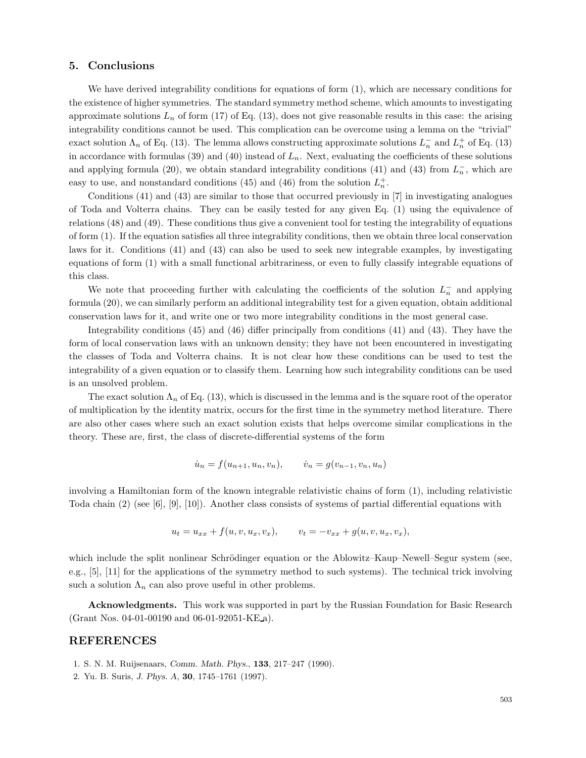## **5. Conclusions**

We have derived integrability conditions for equations of form (1), which are necessary conditions for the existence of higher symmetries. The standard symmetry method scheme, which amounts to investigating approximate solutions  $L_n$  of form (17) of Eq. (13), does not give reasonable results in this case: the arising integrability conditions cannot be used. This complication can be overcome using a lemma on the "trivial" exact solution  $\Lambda_n$  of Eq. (13). The lemma allows constructing approximate solutions  $L_n^-$  and  $L_n^+$  of Eq. (13) in accordance with formulas (39) and (40) instead of  $L_n$ . Next, evaluating the coefficients of these solutions and applying formula (20), we obtain standard integrability conditions (41) and (43) from  $L_n^-$ , which are easy to use, and nonstandard conditions (45) and (46) from the solution  $L_n^+$ .

Conditions (41) and (43) are similar to those that occurred previously in [7] in investigating analogues of Toda and Volterra chains. They can be easily tested for any given Eq. (1) using the equivalence of relations (48) and (49). These conditions thus give a convenient tool for testing the integrability of equations of form (1). If the equation satisfies all three integrability conditions, then we obtain three local conservation laws for it. Conditions (41) and (43) can also be used to seek new integrable examples, by investigating equations of form (1) with a small functional arbitrariness, or even to fully classify integrable equations of this class.

We note that proceeding further with calculating the coefficients of the solution  $L_n^-$  and applying formula (20), we can similarly perform an additional integrability test for a given equation, obtain additional conservation laws for it, and write one or two more integrability conditions in the most general case.

Integrability conditions (45) and (46) differ principally from conditions (41) and (43). They have the form of local conservation laws with an unknown density; they have not been encountered in investigating the classes of Toda and Volterra chains. It is not clear how these conditions can be used to test the integrability of a given equation or to classify them. Learning how such integrability conditions can be used is an unsolved problem.

The exact solution  $\Lambda_n$  of Eq. (13), which is discussed in the lemma and is the square root of the operator of multiplication by the identity matrix, occurs for the first time in the symmetry method literature. There are also other cases where such an exact solution exists that helps overcome similar complications in the theory. These are, first, the class of discrete-differential systems of the form

$$
\dot{u}_n = f(u_{n+1}, u_n, v_n), \qquad \dot{v}_n = g(v_{n-1}, v_n, u_n)
$$

involving a Hamiltonian form of the known integrable relativistic chains of form (1), including relativistic Toda chain (2) (see [6], [9], [10]). Another class consists of systems of partial differential equations with

$$
u_t = u_{xx} + f(u, v, u_x, v_x), \qquad v_t = -v_{xx} + g(u, v, u_x, v_x),
$$

which include the split nonlinear Schrödinger equation or the Ablowitz–Kaup–Newell–Segur system (see, e.g., [5], [11] for the applications of the symmetry method to such systems). The technical trick involving such a solution  $\Lambda_n$  can also prove useful in other problems.

**Acknowledgments.** This work was supported in part by the Russian Foundation for Basic Research (Grant Nos. 04-01-00190 and 06-01-92051-KE a).

## **REFERENCES**

- 1. S. N. M. Ruijsenaars, *Comm. Math. Phys.*, **133**, 217–247 (1990).
- 2. Yu. B. Suris, *J. Phys. A*, **30**, 1745–1761 (1997).